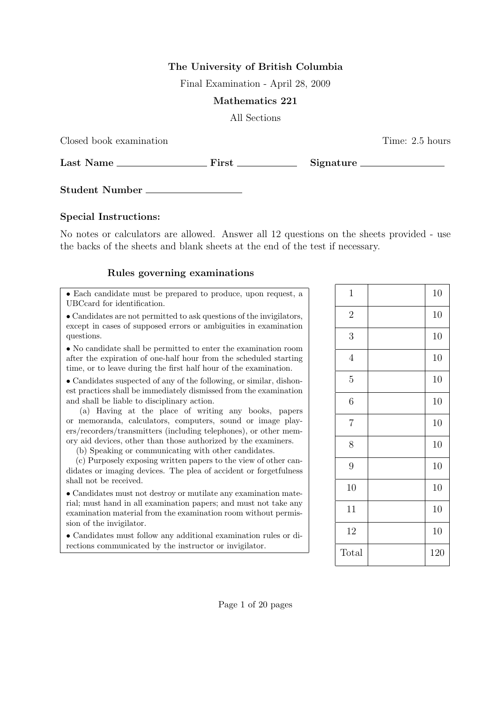## The University of British Columbia

Final Examination - April 28, 2009

## Mathematics 221

All Sections

Closed book examination **Time:** 2.5 hours

Last Name First Signature

Student Number

## Special Instructions:

No notes or calculators are allowed. Answer all 12 questions on the sheets provided - use the backs of the sheets and blank sheets at the end of the test if necessary.

## Rules governing examinations

• Each candidate must be prepared to produce, upon request, a UBCcard for identification.

• Candidates are not permitted to ask questions of the invigilators, except in cases of supposed errors or ambiguities in examination questions.

• No candidate shall be permitted to enter the examination room after the expiration of one-half hour from the scheduled starting time, or to leave during the first half hour of the examination.

• Candidates suspected of any of the following, or similar, dishonest practices shall be immediately dismissed from the examination and shall be liable to disciplinary action.

(a) Having at the place of writing any books, papers or memoranda, calculators, computers, sound or image players/recorders/transmitters (including telephones), or other memory aid devices, other than those authorized by the examiners.

(b) Speaking or communicating with other candidates.

(c) Purposely exposing written papers to the view of other candidates or imaging devices. The plea of accident or forgetfulness shall not be received.

• Candidates must not destroy or mutilate any examination material; must hand in all examination papers; and must not take any examination material from the examination room without permission of the invigilator.

• Candidates must follow any additional examination rules or directions communicated by the instructor or invigilator.

| $\mathbf 1$    | 10  |
|----------------|-----|
| $\overline{2}$ | 10  |
| 3              | 10  |
| $\overline{4}$ | 10  |
| $\overline{5}$ | 10  |
| 6              | 10  |
| $\overline{7}$ | 10  |
| 8              | 10  |
| 9              | 10  |
| 10             | 10  |
| 11             | 10  |
| 12             | 10  |
| Total          | 120 |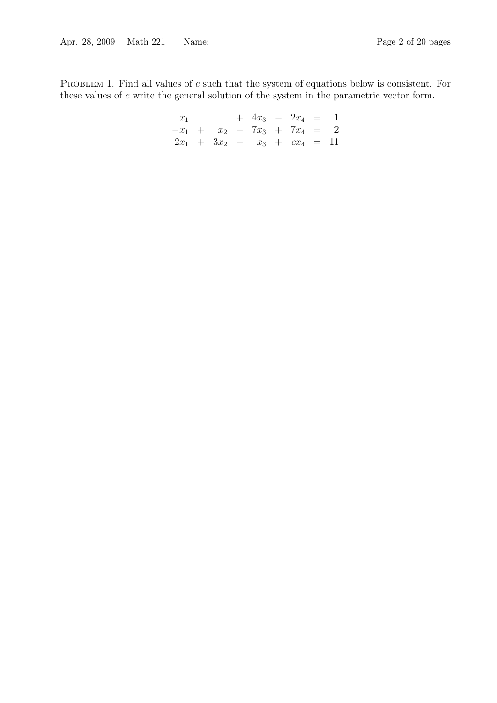PROBLEM 1. Find all values of  $c$  such that the system of equations below is consistent. For these values of c write the general solution of the system in the parametric vector form.

$$
\begin{array}{ccccccccc}\nx_1 & + & 4x_3 & - & 2x_4 & = & 1\\ \n-x_1 & + & x_2 & - & 7x_3 & + & 7x_4 & = & 2\\ \n2x_1 & + & 3x_2 & - & x_3 & + & cx_4 & = & 11\n\end{array}
$$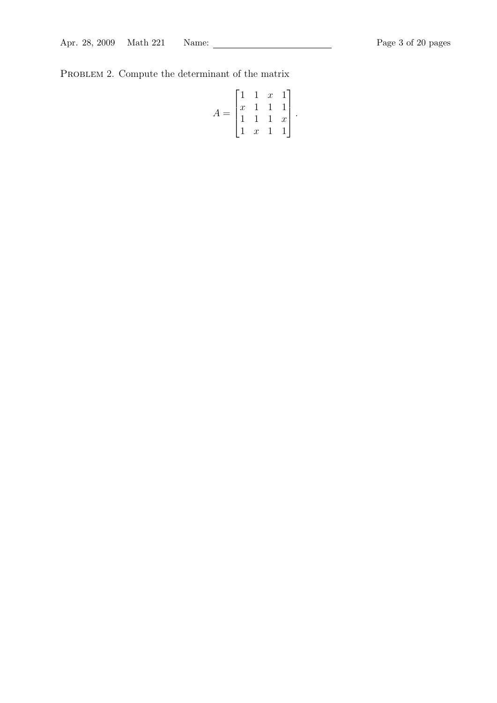PROBLEM 2. Compute the determinant of the matrix

$$
A = \begin{bmatrix} 1 & 1 & x & 1 \\ x & 1 & 1 & 1 \\ 1 & 1 & 1 & x \\ 1 & x & 1 & 1 \end{bmatrix}.
$$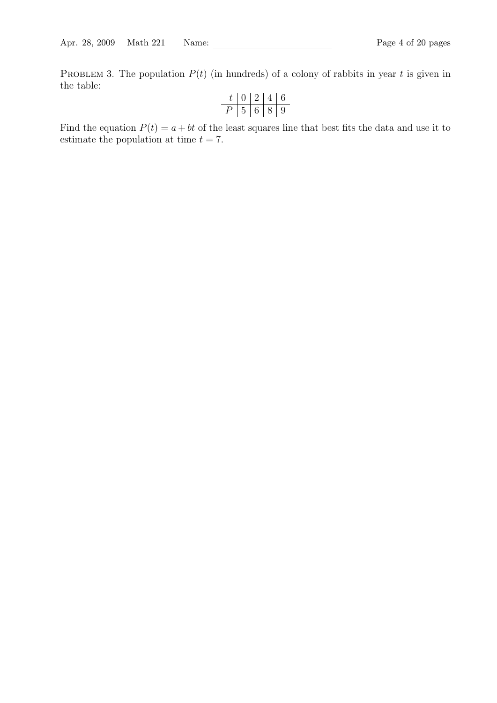PROBLEM 3. The population  $P(t)$  (in hundreds) of a colony of rabbits in year t is given in the table:

$$
\begin{array}{c|c|c|c|c|c|c|c|c} t & 0 & 2 & 4 & 6 \\ \hline P & 5 & 6 & 8 & 9 \\ \end{array}
$$

Find the equation  $P(t) = a + bt$  of the least squares line that best fits the data and use it to estimate the population at time  $t = 7$ .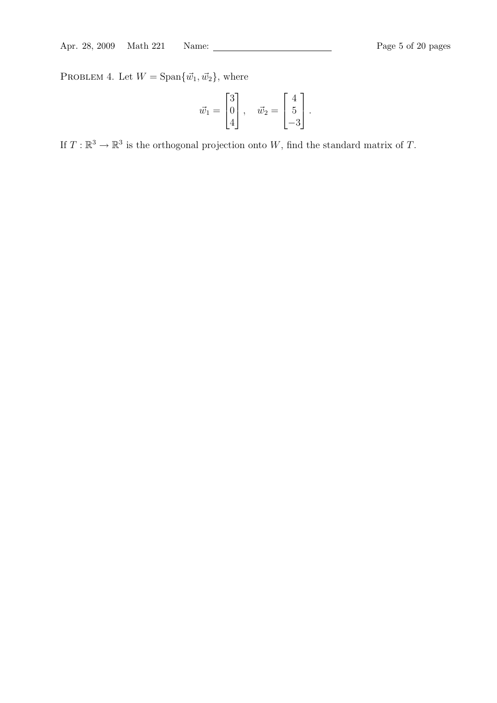PROBLEM 4. Let  $W = \text{Span}\{\vec{w}_1, \vec{w}_2\}$ , where

$$
\vec{w}_1 = \begin{bmatrix} 3 \\ 0 \\ 4 \end{bmatrix}, \quad \vec{w}_2 = \begin{bmatrix} 4 \\ 5 \\ -3 \end{bmatrix}.
$$

If  $T : \mathbb{R}^3 \to \mathbb{R}^3$  is the orthogonal projection onto W, find the standard matrix of T.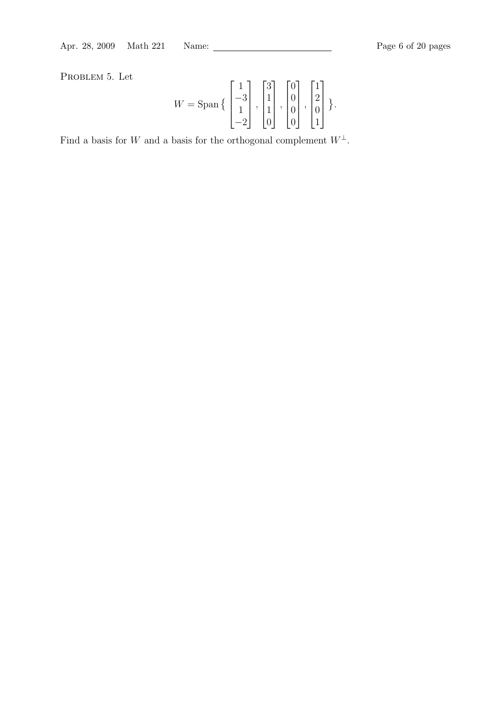PROBLEM 5. Let

$$
W = \text{Span} \left\{ \begin{bmatrix} 1 \\ -3 \\ 1 \\ -2 \end{bmatrix}, \begin{bmatrix} 3 \\ 1 \\ 1 \\ 0 \end{bmatrix}, \begin{bmatrix} 0 \\ 0 \\ 0 \\ 0 \end{bmatrix}, \begin{bmatrix} 1 \\ 2 \\ 0 \\ 1 \end{bmatrix} \right\}.
$$

Find a basis for  $W$  and a basis for the orthogonal complement  $W^\perp.$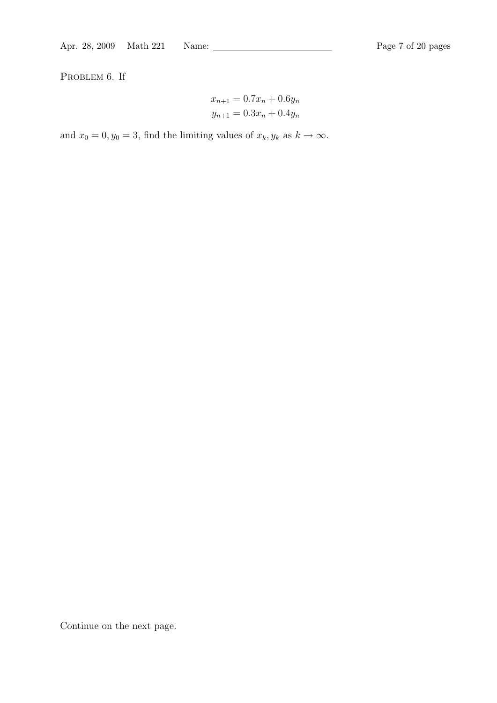PROBLEM 6. If

$$
x_{n+1} = 0.7x_n + 0.6y_n
$$
  

$$
y_{n+1} = 0.3x_n + 0.4y_n
$$

and  $x_0 = 0, y_0 = 3$ , find the limiting values of  $x_k, y_k$  as  $k \to \infty$ .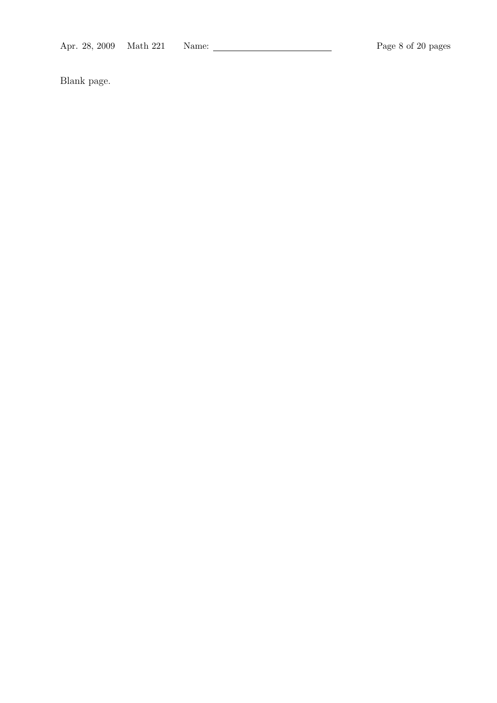Apr. 28, 2009 Math 221 Name: 2009 Math 221 Name: 28, 2009 Page 8 of 20 pages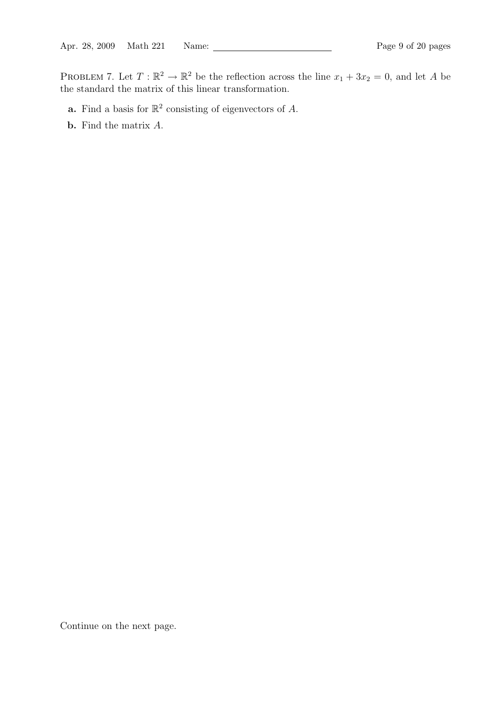PROBLEM 7. Let  $T : \mathbb{R}^2 \to \mathbb{R}^2$  be the reflection across the line  $x_1 + 3x_2 = 0$ , and let A be the standard the matrix of this linear transformation.

- **a.** Find a basis for  $\mathbb{R}^2$  consisting of eigenvectors of A.
- b. Find the matrix A.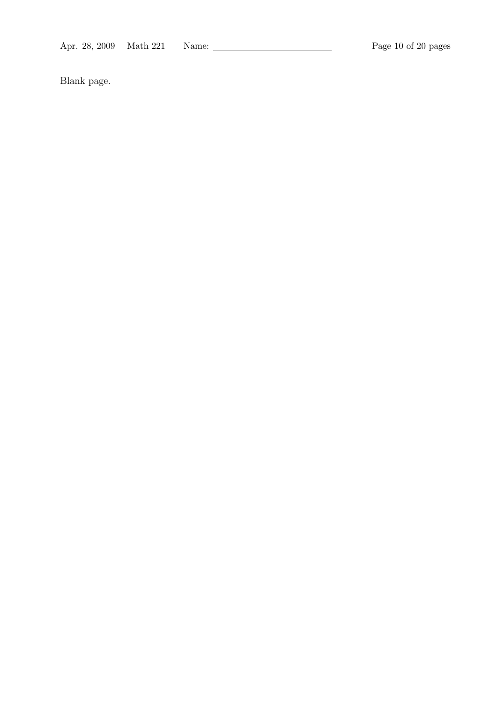Apr. 28, 2009 Math 221 Name: 28, 2009 Math 221 Name: 28, 2009 Page 10 of 20 pages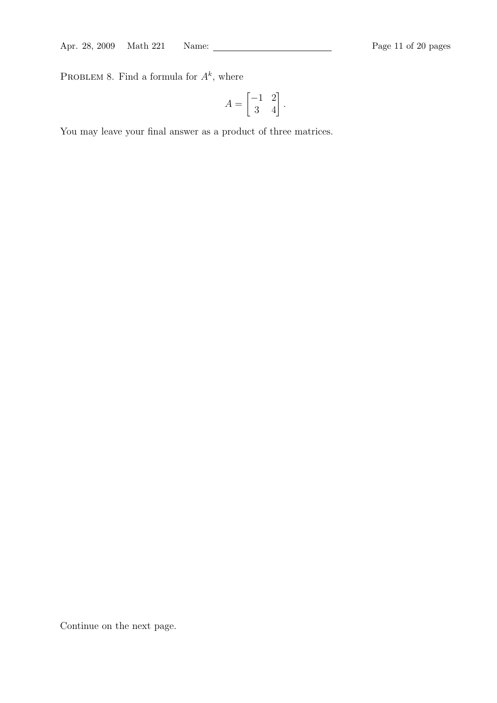PROBLEM 8. Find a formula for  $A<sup>k</sup>$ , where

$$
A = \begin{bmatrix} -1 & 2 \\ 3 & 4 \end{bmatrix}.
$$

You may leave your final answer as a product of three matrices.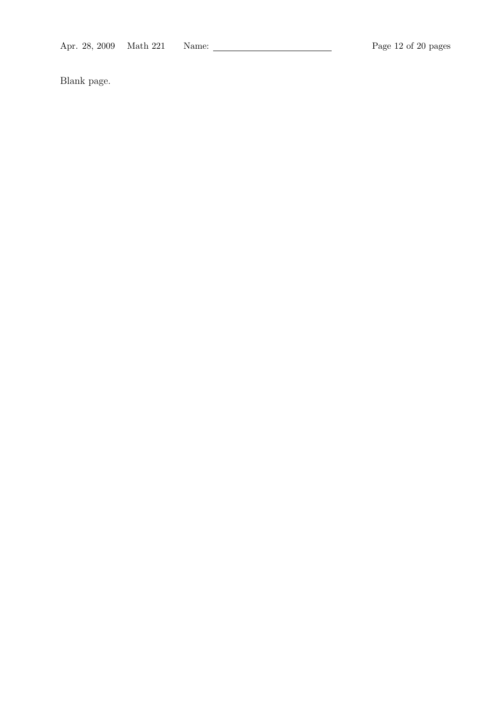Apr. 28, 2009 Math 221 Name: 2009 Math 221 Name: 28, 2009 Page 12 of 20 pages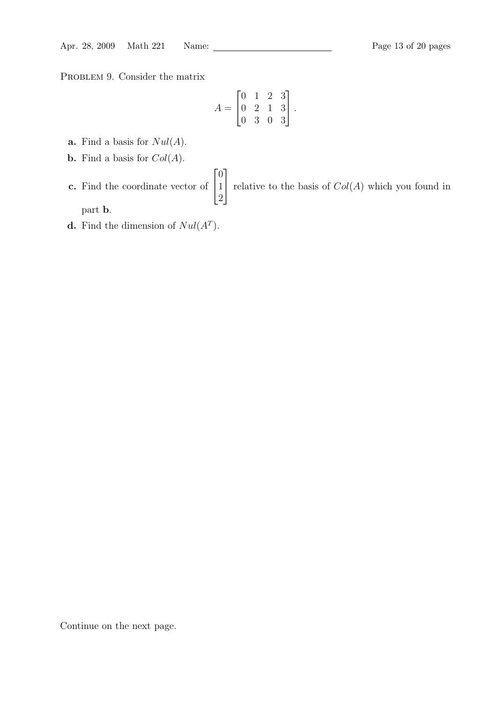PROBLEM 9. Consider the matrix

$$
A = \begin{bmatrix} 0 & 1 & 2 & 3 \\ 0 & 2 & 1 & 3 \\ 0 & 3 & 0 & 3 \end{bmatrix}.
$$

- **a.** Find a basis for  $Nul(A)$ .
- **b.** Find a basis for  $Col(A)$ .
- c. Find the coordinate vector of  $\sqrt{ }$  $\overline{\phantom{a}}$  $\overline{0}$ 1 2 1 relative to the basis of  $Col(A)$  which you found in part b.
- **d.** Find the dimension of  $Nul(A^T)$ .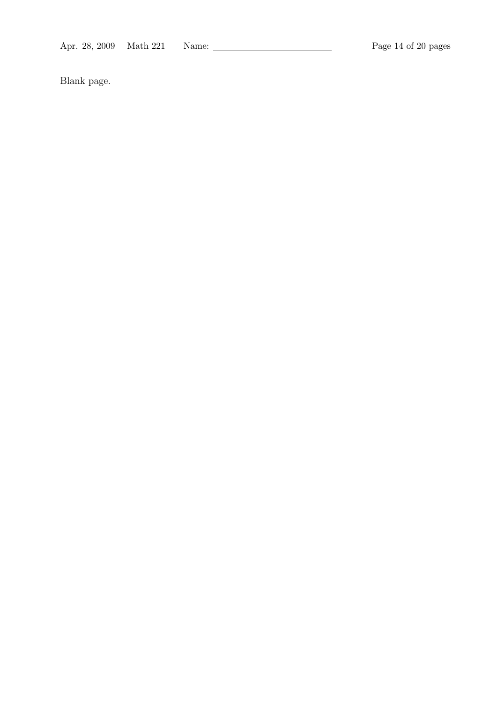Apr. 28, 2009 Math 221 Name: 28, 2009 Math 221 Name: 28, 2009 Page 14 of 20 pages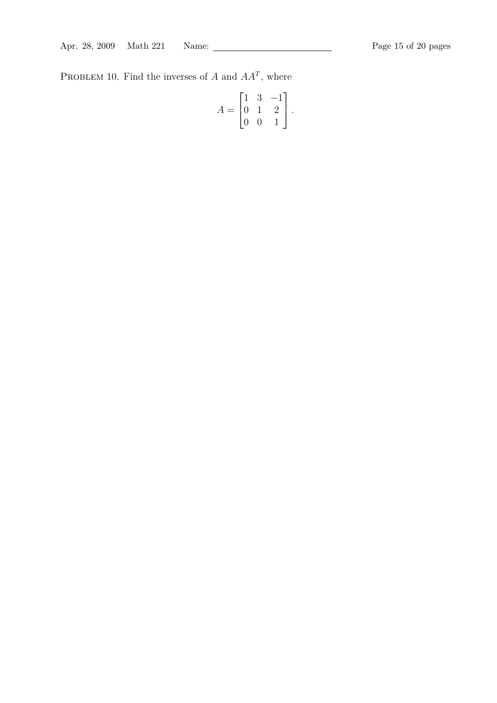PROBLEM 10. Find the inverses of  $A$  and  $AA<sup>T</sup>$ , where

$$
A = \begin{bmatrix} 1 & 3 & -1 \\ 0 & 1 & 2 \\ 0 & 0 & 1 \end{bmatrix}.
$$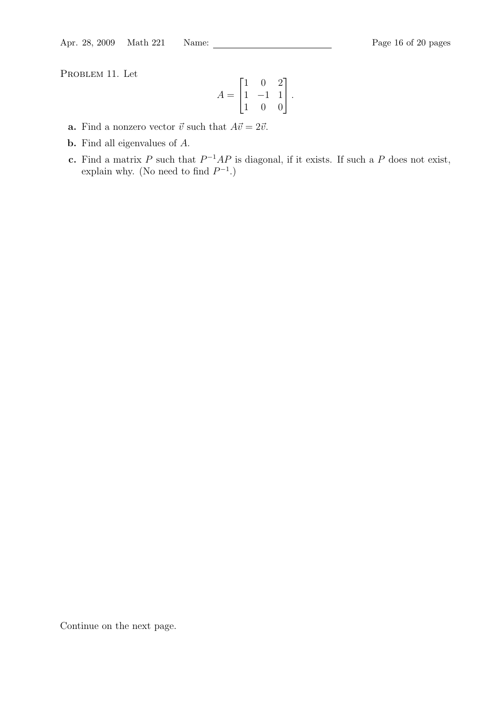Apr. 28, 2009 Math 221 Name: Page 16 of 20 pages

PROBLEM 11. Let

$$
A = \begin{bmatrix} 1 & 0 & 2 \\ 1 & -1 & 1 \\ 1 & 0 & 0 \end{bmatrix}.
$$

- **a.** Find a nonzero vector  $\vec{v}$  such that  $A\vec{v} = 2\vec{v}$ .
- b. Find all eigenvalues of A.
- c. Find a matrix P such that  $P^{-1}AP$  is diagonal, if it exists. If such a P does not exist, explain why. (No need to find  $P^{-1}$ .)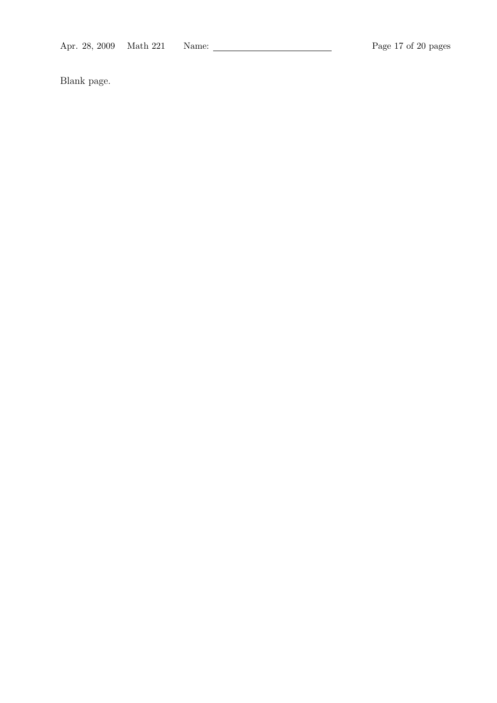Apr. 28, 2009 Math 221 Name: 28, 2009 Math 221 Name: 28, 2009 Page 17 of 20 pages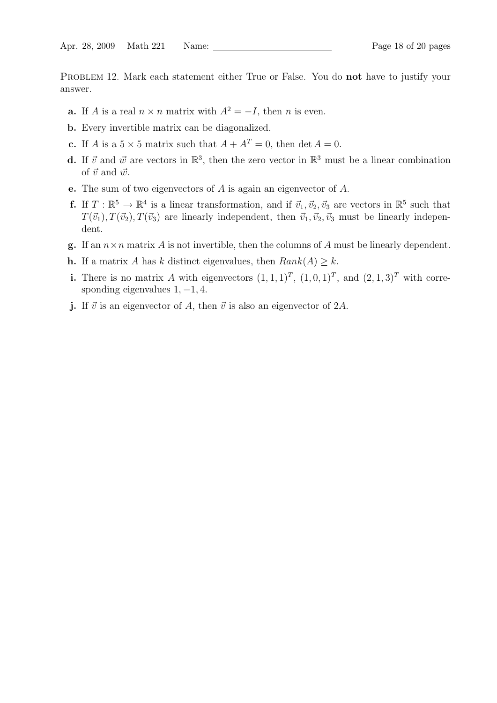PROBLEM 12. Mark each statement either True or False. You do not have to justify your answer.

- **a.** If A is a real  $n \times n$  matrix with  $A^2 = -I$ , then n is even.
- b. Every invertible matrix can be diagonalized.
- c. If A is a  $5 \times 5$  matrix such that  $A + A^T = 0$ , then det  $A = 0$ .
- **d.** If  $\vec{v}$  and  $\vec{w}$  are vectors in  $\mathbb{R}^3$ , then the zero vector in  $\mathbb{R}^3$  must be a linear combination of  $\vec{v}$  and  $\vec{w}$ .
- e. The sum of two eigenvectors of A is again an eigenvector of A.
- **f.** If  $T : \mathbb{R}^5 \to \mathbb{R}^4$  is a linear transformation, and if  $\vec{v}_1, \vec{v}_2, \vec{v}_3$  are vectors in  $\mathbb{R}^5$  such that  $T(\vec{v}_1), T(\vec{v}_2), T(\vec{v}_3)$  are linearly independent, then  $\vec{v}_1, \vec{v}_2, \vec{v}_3$  must be linearly independent.
- **g.** If an  $n \times n$  matrix A is not invertible, then the columns of A must be linearly dependent.
- h. If a matrix A has k distinct eigenvalues, then  $Rank(A) \geq k$ .
- **i.** There is no matrix A with eigenvectors  $(1,1,1)^T$ ,  $(1,0,1)^T$ , and  $(2,1,3)^T$  with corresponding eigenvalues  $1, -1, 4$ .
- j. If  $\vec{v}$  is an eigenvector of A, then  $\vec{v}$  is also an eigenvector of 2A.